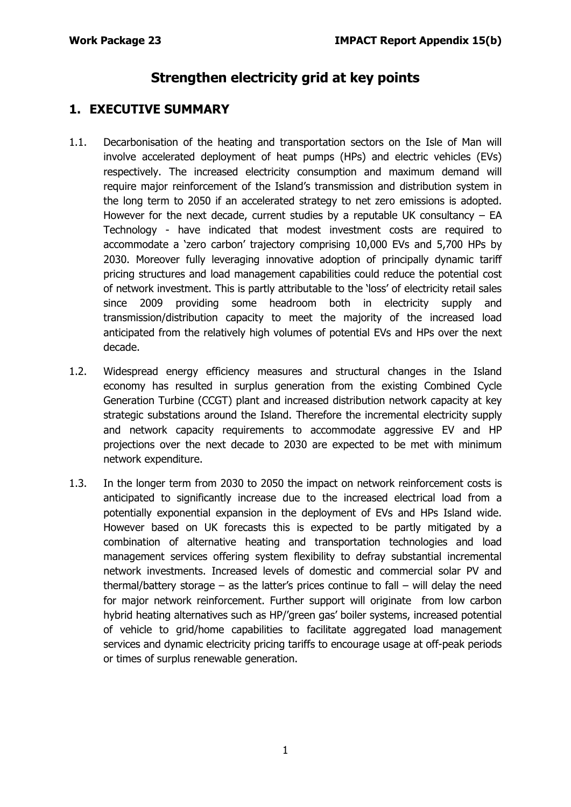# **Strengthen electricity grid at key points**

# **1. EXECUTIVE SUMMARY**

- 1.1. Decarbonisation of the heating and transportation sectors on the Isle of Man will involve accelerated deployment of heat pumps (HPs) and electric vehicles (EVs) respectively. The increased electricity consumption and maximum demand will require major reinforcement of the Island's transmission and distribution system in the long term to 2050 if an accelerated strategy to net zero emissions is adopted. However for the next decade, current studies by a reputable UK consultancy  $-$  EA Technology - have indicated that modest investment costs are required to accommodate a 'zero carbon' trajectory comprising 10,000 EVs and 5,700 HPs by 2030. Moreover fully leveraging innovative adoption of principally dynamic tariff pricing structures and load management capabilities could reduce the potential cost of network investment. This is partly attributable to the 'loss' of electricity retail sales since 2009 providing some headroom both in electricity supply and transmission/distribution capacity to meet the majority of the increased load anticipated from the relatively high volumes of potential EVs and HPs over the next decade.
- 1.2. Widespread energy efficiency measures and structural changes in the Island economy has resulted in surplus generation from the existing Combined Cycle Generation Turbine (CCGT) plant and increased distribution network capacity at key strategic substations around the Island. Therefore the incremental electricity supply and network capacity requirements to accommodate aggressive EV and HP projections over the next decade to 2030 are expected to be met with minimum network expenditure.
- 1.3. In the longer term from 2030 to 2050 the impact on network reinforcement costs is anticipated to significantly increase due to the increased electrical load from a potentially exponential expansion in the deployment of EVs and HPs Island wide. However based on UK forecasts this is expected to be partly mitigated by a combination of alternative heating and transportation technologies and load management services offering system flexibility to defray substantial incremental network investments. Increased levels of domestic and commercial solar PV and thermal/battery storage – as the latter's prices continue to fall – will delay the need for major network reinforcement. Further support will originate from low carbon hybrid heating alternatives such as HP/'green gas' boiler systems, increased potential of vehicle to grid/home capabilities to facilitate aggregated load management services and dynamic electricity pricing tariffs to encourage usage at off-peak periods or times of surplus renewable generation.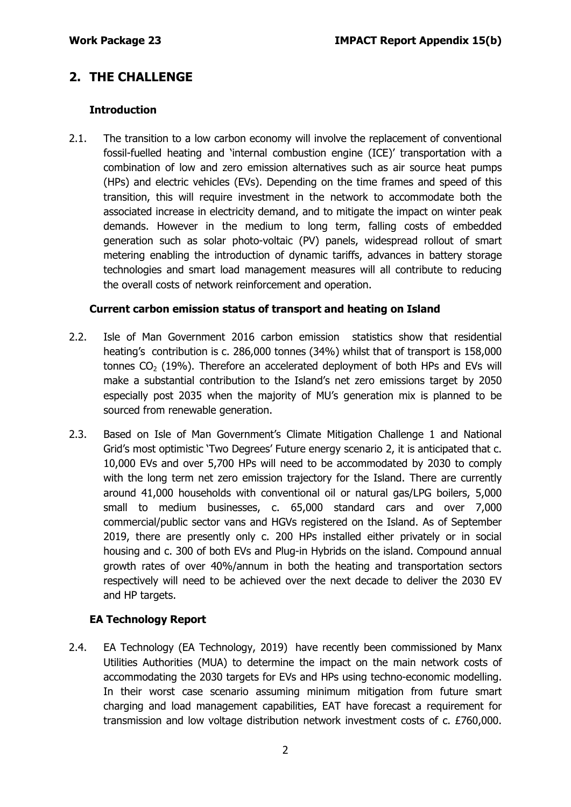# **2. THE CHALLENGE**

## **Introduction**

2.1. The transition to a low carbon economy will involve the replacement of conventional fossil-fuelled heating and 'internal combustion engine (ICE)' transportation with a combination of low and zero emission alternatives such as air source heat pumps (HPs) and electric vehicles (EVs). Depending on the time frames and speed of this transition, this will require investment in the network to accommodate both the associated increase in electricity demand, and to mitigate the impact on winter peak demands. However in the medium to long term, falling costs of embedded generation such as solar photo-voltaic (PV) panels, widespread rollout of smart metering enabling the introduction of dynamic tariffs, advances in battery storage technologies and smart load management measures will all contribute to reducing the overall costs of network reinforcement and operation.

### **Current carbon emission status of transport and heating on Island**

- 2.2. Isle of Man Government 2016 carbon emission statistics show that residential heating's contribution is c. 286,000 tonnes (34%) whilst that of transport is 158,000 tonnes  $CO<sub>2</sub>$  (19%). Therefore an accelerated deployment of both HPs and EVs will make a substantial contribution to the Island's net zero emissions target by 2050 especially post 2035 when the majority of MU's generation mix is planned to be sourced from renewable generation.
- 2.3. Based on Isle of Man Government's Climate Mitigation Challenge 1 and National Grid's most optimistic 'Two Degrees' Future energy scenario 2, it is anticipated that c. 10,000 EVs and over 5,700 HPs will need to be accommodated by 2030 to comply with the long term net zero emission trajectory for the Island. There are currently around 41,000 households with conventional oil or natural gas/LPG boilers, 5,000 small to medium businesses, c. 65,000 standard cars and over 7,000 commercial/public sector vans and HGVs registered on the Island. As of September 2019, there are presently only c. 200 HPs installed either privately or in social housing and c. 300 of both EVs and Plug-in Hybrids on the island. Compound annual growth rates of over 40%/annum in both the heating and transportation sectors respectively will need to be achieved over the next decade to deliver the 2030 EV and HP targets.

## **EA Technology Report**

2.4. EA Technology (EA Technology, 2019) have recently been commissioned by Manx Utilities Authorities (MUA) to determine the impact on the main network costs of accommodating the 2030 targets for EVs and HPs using techno-economic modelling. In their worst case scenario assuming minimum mitigation from future smart charging and load management capabilities, EAT have forecast a requirement for transmission and low voltage distribution network investment costs of c. £760,000.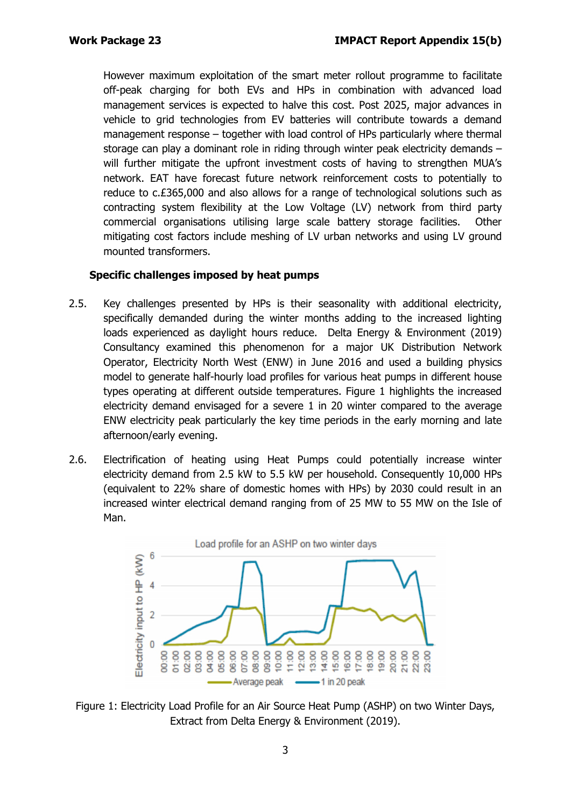However maximum exploitation of the smart meter rollout programme to facilitate off-peak charging for both EVs and HPs in combination with advanced load management services is expected to halve this cost. Post 2025, major advances in vehicle to grid technologies from EV batteries will contribute towards a demand management response – together with load control of HPs particularly where thermal storage can play a dominant role in riding through winter peak electricity demands – will further mitigate the upfront investment costs of having to strengthen MUA's network. EAT have forecast future network reinforcement costs to potentially to reduce to c.£365,000 and also allows for a range of technological solutions such as contracting system flexibility at the Low Voltage (LV) network from third party commercial organisations utilising large scale battery storage facilities. Other mitigating cost factors include meshing of LV urban networks and using LV ground mounted transformers.

#### **Specific challenges imposed by heat pumps**

- 2.5. Key challenges presented by HPs is their seasonality with additional electricity, specifically demanded during the winter months adding to the increased lighting loads experienced as daylight hours reduce. Delta Energy & Environment (2019) Consultancy examined this phenomenon for a major UK Distribution Network Operator, Electricity North West (ENW) in June 2016 and used a building physics model to generate half-hourly load profiles for various heat pumps in different house types operating at different outside temperatures. Figure 1 highlights the increased electricity demand envisaged for a severe 1 in 20 winter compared to the average ENW electricity peak particularly the key time periods in the early morning and late afternoon/early evening.
- 2.6. Electrification of heating using Heat Pumps could potentially increase winter electricity demand from 2.5 kW to 5.5 kW per household. Consequently 10,000 HPs (equivalent to 22% share of domestic homes with HPs) by 2030 could result in an increased winter electrical demand ranging from of 25 MW to 55 MW on the Isle of Man.



Figure 1: Electricity Load Profile for an Air Source Heat Pump (ASHP) on two Winter Days, Extract from Delta Energy & Environment (2019).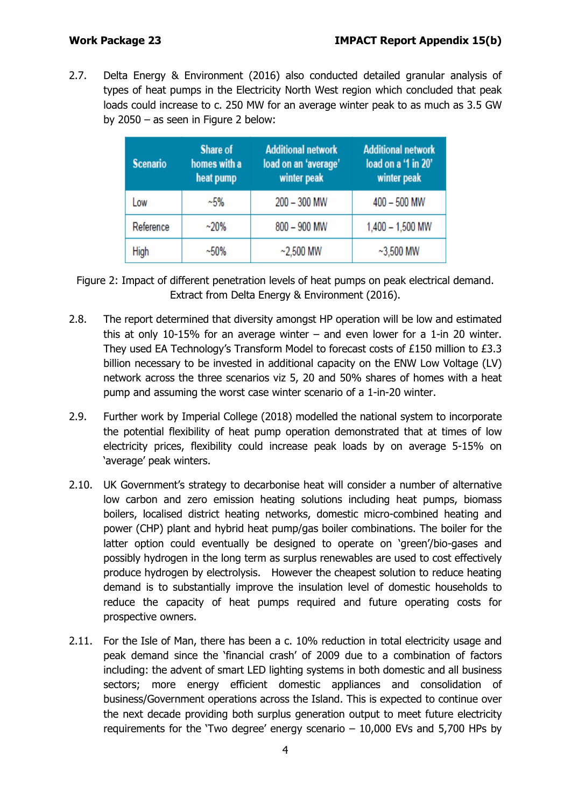2.7. Delta Energy & Environment (2016) also conducted detailed granular analysis of types of heat pumps in the Electricity North West region which concluded that peak loads could increase to c. 250 MW for an average winter peak to as much as 3.5 GW by 2050 – as seen in Figure 2 below:

| <b>Scenario</b> | <b>Share of</b><br>homes with a<br>heat pump | <b>Additional network</b><br>load on an 'average'<br>winter peak | <b>Additional network</b><br>load on a '1 in 20'<br>winter peak |
|-----------------|----------------------------------------------|------------------------------------------------------------------|-----------------------------------------------------------------|
| Low             | $~1.5\%$                                     | $200 - 300$ MW                                                   | 400 - 500 MW                                                    |
| Reference       | $~20\%$                                      | 800 - 900 MW                                                     | $1,400 - 1,500$ MW                                              |
| High            | $~1.50\%$                                    | $~2,500$ MW                                                      | $~1$ -3,500 MW                                                  |

Figure 2: Impact of different penetration levels of heat pumps on peak electrical demand. Extract from Delta Energy & Environment (2016).

- 2.8. The report determined that diversity amongst HP operation will be low and estimated this at only 10-15% for an average winter  $-$  and even lower for a 1-in 20 winter. They used EA Technology's Transform Model to forecast costs of £150 million to £3.3 billion necessary to be invested in additional capacity on the ENW Low Voltage (LV) network across the three scenarios viz 5, 20 and 50% shares of homes with a heat pump and assuming the worst case winter scenario of a 1-in-20 winter.
- 2.9. Further work by Imperial College (2018) modelled the national system to incorporate the potential flexibility of heat pump operation demonstrated that at times of low electricity prices, flexibility could increase peak loads by on average 5-15% on 'average' peak winters.
- 2.10. UK Government's strategy to decarbonise heat will consider a number of alternative low carbon and zero emission heating solutions including heat pumps, biomass boilers, localised district heating networks, domestic micro-combined heating and power (CHP) plant and hybrid heat pump/gas boiler combinations. The boiler for the latter option could eventually be designed to operate on 'green'/bio-gases and possibly hydrogen in the long term as surplus renewables are used to cost effectively produce hydrogen by electrolysis. However the cheapest solution to reduce heating demand is to substantially improve the insulation level of domestic households to reduce the capacity of heat pumps required and future operating costs for prospective owners.
- 2.11. For the Isle of Man, there has been a c. 10% reduction in total electricity usage and peak demand since the 'financial crash' of 2009 due to a combination of factors including: the advent of smart LED lighting systems in both domestic and all business sectors; more energy efficient domestic appliances and consolidation of business/Government operations across the Island. This is expected to continue over the next decade providing both surplus generation output to meet future electricity requirements for the 'Two degree' energy scenario – 10,000 EVs and 5,700 HPs by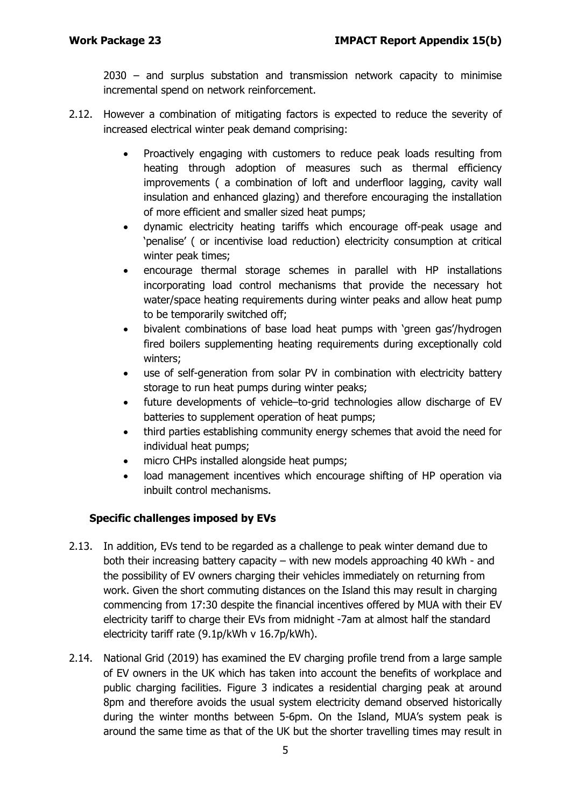2030 – and surplus substation and transmission network capacity to minimise incremental spend on network reinforcement.

- 2.12. However a combination of mitigating factors is expected to reduce the severity of increased electrical winter peak demand comprising:
	- Proactively engaging with customers to reduce peak loads resulting from heating through adoption of measures such as thermal efficiency improvements ( a combination of loft and underfloor lagging, cavity wall insulation and enhanced glazing) and therefore encouraging the installation of more efficient and smaller sized heat pumps;
	- dynamic electricity heating tariffs which encourage off-peak usage and 'penalise' ( or incentivise load reduction) electricity consumption at critical winter peak times;
	- encourage thermal storage schemes in parallel with HP installations incorporating load control mechanisms that provide the necessary hot water/space heating requirements during winter peaks and allow heat pump to be temporarily switched off;
	- bivalent combinations of base load heat pumps with 'green gas'/hydrogen fired boilers supplementing heating requirements during exceptionally cold winters;
	- use of self-generation from solar PV in combination with electricity battery storage to run heat pumps during winter peaks;
	- future developments of vehicle–to-grid technologies allow discharge of EV batteries to supplement operation of heat pumps;
	- third parties establishing community energy schemes that avoid the need for individual heat pumps;
	- micro CHPs installed alongside heat pumps;
	- load management incentives which encourage shifting of HP operation via inbuilt control mechanisms.

## **Specific challenges imposed by EVs**

- 2.13. In addition, EVs tend to be regarded as a challenge to peak winter demand due to both their increasing battery capacity – with new models approaching 40 kWh - and the possibility of EV owners charging their vehicles immediately on returning from work. Given the short commuting distances on the Island this may result in charging commencing from 17:30 despite the financial incentives offered by MUA with their EV electricity tariff to charge their EVs from midnight -7am at almost half the standard electricity tariff rate (9.1p/kWh v 16.7p/kWh).
- 2.14. National Grid (2019) has examined the EV charging profile trend from a large sample of EV owners in the UK which has taken into account the benefits of workplace and public charging facilities. Figure 3 indicates a residential charging peak at around 8pm and therefore avoids the usual system electricity demand observed historically during the winter months between 5-6pm. On the Island, MUA's system peak is around the same time as that of the UK but the shorter travelling times may result in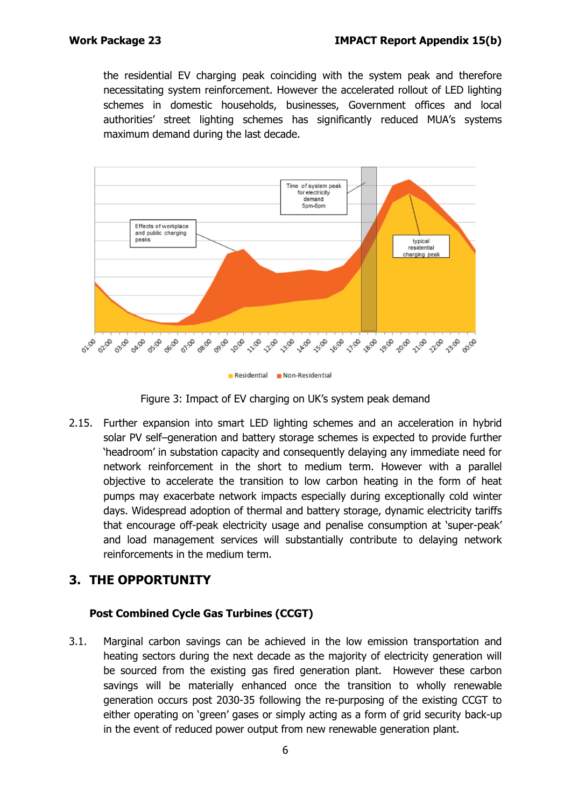the residential EV charging peak coinciding with the system peak and therefore necessitating system reinforcement. However the accelerated rollout of LED lighting schemes in domestic households, businesses, Government offices and local authorities' street lighting schemes has significantly reduced MUA's systems maximum demand during the last decade.



Figure 3: Impact of EV charging on UK's system peak demand

2.15. Further expansion into smart LED lighting schemes and an acceleration in hybrid solar PV self–generation and battery storage schemes is expected to provide further 'headroom' in substation capacity and consequently delaying any immediate need for network reinforcement in the short to medium term. However with a parallel objective to accelerate the transition to low carbon heating in the form of heat pumps may exacerbate network impacts especially during exceptionally cold winter days. Widespread adoption of thermal and battery storage, dynamic electricity tariffs that encourage off-peak electricity usage and penalise consumption at 'super-peak' and load management services will substantially contribute to delaying network reinforcements in the medium term.

# **3. THE OPPORTUNITY**

## **Post Combined Cycle Gas Turbines (CCGT)**

3.1. Marginal carbon savings can be achieved in the low emission transportation and heating sectors during the next decade as the majority of electricity generation will be sourced from the existing gas fired generation plant. However these carbon savings will be materially enhanced once the transition to wholly renewable generation occurs post 2030-35 following the re-purposing of the existing CCGT to either operating on 'green' gases or simply acting as a form of grid security back-up in the event of reduced power output from new renewable generation plant.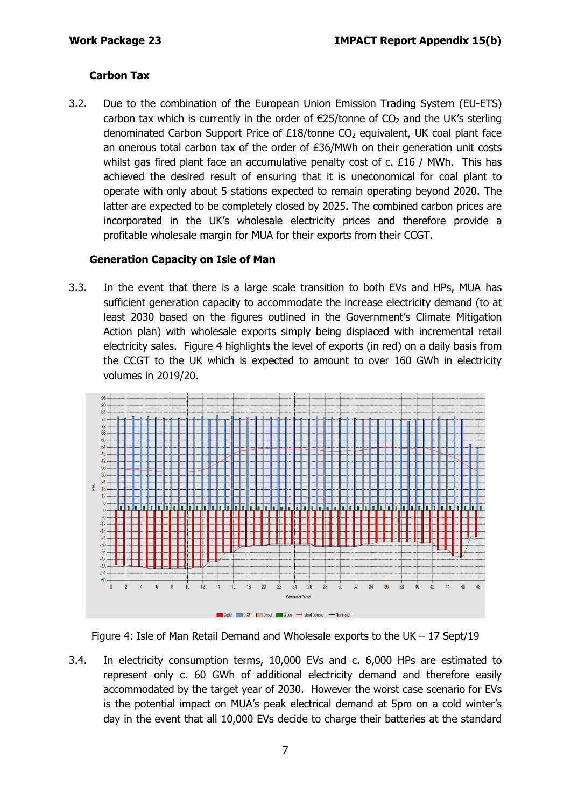## **Carbon Tax**

3.2. Due to the combination of the European Union Emission Trading System (EU-ETS) carbon tax which is currently in the order of  $\epsilon$ 25/tonne of CO<sub>2</sub> and the UK's sterling denominated Carbon Support Price of  $£18/t$ onne CO<sub>2</sub> equivalent, UK coal plant face an onerous total carbon tax of the order of £36/MWh on their generation unit costs whilst gas fired plant face an accumulative penalty cost of c. £16 / MWh. This has achieved the desired result of ensuring that it is uneconomical for coal plant to operate with only about 5 stations expected to remain operating beyond 2020. The latter are expected to be completely closed by 2025. The combined carbon prices are incorporated in the UK's wholesale electricity prices and therefore provide a profitable wholesale margin for MUA for their exports from their CCGT.

### **Generation Capacity on Isle of Man**

3.3. In the event that there is a large scale transition to both EVs and HPs, MUA has sufficient generation capacity to accommodate the increase electricity demand (to at least 2030 based on the figures outlined in the Government's Climate Mitigation Action plan) with wholesale exports simply being displaced with incremental retail electricity sales. Figure 4 highlights the level of exports (in red) on a daily basis from the CCGT to the UK which is expected to amount to over 160 GWh in electricity volumes in 2019/20.



Figure 4: Isle of Man Retail Demand and Wholesale exports to the UK – 17 Sept/19

3.4. In electricity consumption terms, 10,000 EVs and c. 6,000 HPs are estimated to represent only c. 60 GWh of additional electricity demand and therefore easily accommodated by the target year of 2030. However the worst case scenario for EVs is the potential impact on MUA's peak electrical demand at 5pm on a cold winter's day in the event that all 10,000 EVs decide to charge their batteries at the standard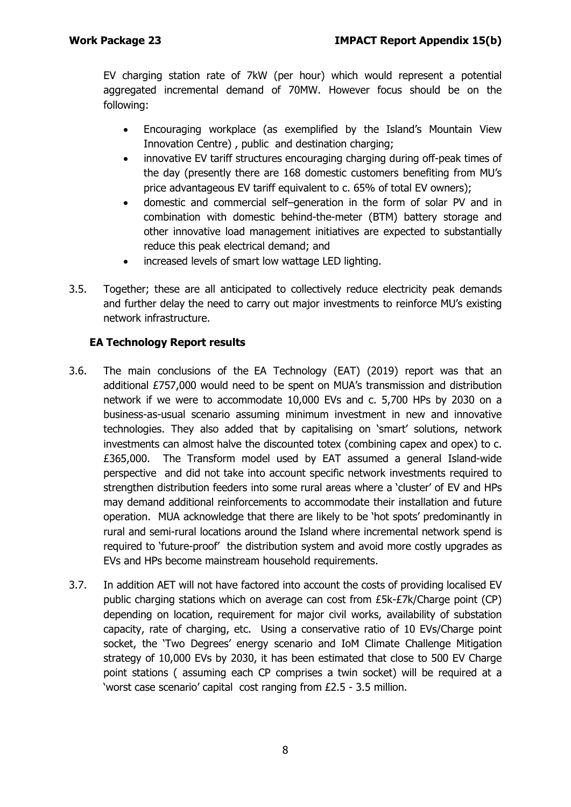EV charging station rate of 7kW (per hour) which would represent a potential aggregated incremental demand of 70MW. However focus should be on the following:

- Encouraging workplace (as exemplified by the Island's Mountain View Innovation Centre) , public and destination charging;
- innovative EV tariff structures encouraging charging during off-peak times of the day (presently there are 168 domestic customers benefiting from MU's price advantageous EV tariff equivalent to c. 65% of total EV owners);
- domestic and commercial self–generation in the form of solar PV and in combination with domestic behind-the-meter (BTM) battery storage and other innovative load management initiatives are expected to substantially reduce this peak electrical demand; and
- increased levels of smart low wattage LED lighting.
- 3.5. Together; these are all anticipated to collectively reduce electricity peak demands and further delay the need to carry out major investments to reinforce MU's existing network infrastructure.

## **EA Technology Report results**

- 3.6. The main conclusions of the EA Technology (EAT) (2019) report was that an additional £757,000 would need to be spent on MUA's transmission and distribution network if we were to accommodate 10,000 EVs and c. 5,700 HPs by 2030 on a business-as-usual scenario assuming minimum investment in new and innovative technologies. They also added that by capitalising on 'smart' solutions, network investments can almost halve the discounted totex (combining capex and opex) to c. £365,000. The Transform model used by EAT assumed a general Island-wide perspective and did not take into account specific network investments required to strengthen distribution feeders into some rural areas where a 'cluster' of EV and HPs may demand additional reinforcements to accommodate their installation and future operation. MUA acknowledge that there are likely to be 'hot spots' predominantly in rural and semi-rural locations around the Island where incremental network spend is required to 'future-proof' the distribution system and avoid more costly upgrades as EVs and HPs become mainstream household requirements.
- 3.7. In addition AET will not have factored into account the costs of providing localised EV public charging stations which on average can cost from £5k-£7k/Charge point (CP) depending on location, requirement for major civil works, availability of substation capacity, rate of charging, etc. Using a conservative ratio of 10 EVs/Charge point socket, the 'Two Degrees' energy scenario and IoM Climate Challenge Mitigation strategy of 10,000 EVs by 2030, it has been estimated that close to 500 EV Charge point stations ( assuming each CP comprises a twin socket) will be required at a 'worst case scenario' capital cost ranging from £2.5 - 3.5 million.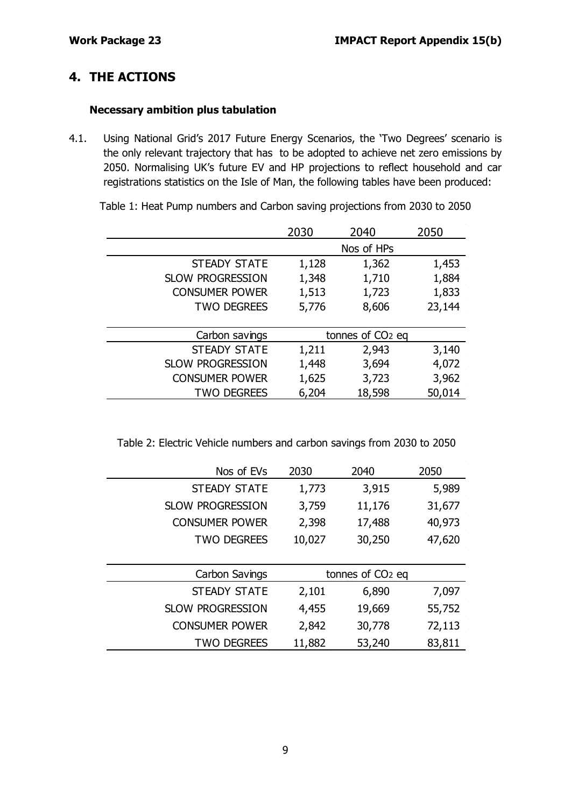# **4. THE ACTIONS**

#### **Necessary ambition plus tabulation**

4.1. Using National Grid's 2017 Future Energy Scenarios, the 'Two Degrees' scenario is the only relevant trajectory that has to be adopted to achieve net zero emissions by 2050. Normalising UK's future EV and HP projections to reflect household and car registrations statistics on the Isle of Man, the following tables have been produced:

|                         | 2030                         | 2040       | 2050   |
|-------------------------|------------------------------|------------|--------|
|                         |                              | Nos of HPs |        |
| <b>STEADY STATE</b>     | 1,128                        | 1,362      | 1,453  |
| <b>SLOW PROGRESSION</b> | 1,348                        | 1,710      | 1,884  |
| <b>CONSUMER POWER</b>   | 1,513                        | 1,723      | 1,833  |
| <b>TWO DEGREES</b>      | 5,776                        | 8,606      | 23,144 |
|                         |                              |            |        |
| Carbon savings          | tonnes of CO <sub>2</sub> eq |            |        |
| <b>STEADY STATE</b>     | 1,211                        | 2,943      | 3,140  |
| <b>SLOW PROGRESSION</b> | 1,448                        | 3,694      | 4,072  |
| <b>CONSUMER POWER</b>   | 1,625                        | 3,723      | 3,962  |
| <b>TWO DEGREES</b>      | 6,204                        | 18,598     | 50,014 |

Table 1: Heat Pump numbers and Carbon saving projections from 2030 to 2050

Table 2: Electric Vehicle numbers and carbon savings from 2030 to 2050

| Nos of EVs              | 2030                         | 2040   | 2050   |
|-------------------------|------------------------------|--------|--------|
| <b>STEADY STATE</b>     | 1,773                        | 3,915  | 5,989  |
| <b>SLOW PROGRESSION</b> | 3,759                        | 11,176 | 31,677 |
| <b>CONSUMER POWER</b>   | 2,398                        | 17,488 | 40,973 |
| <b>TWO DEGREES</b>      | 10,027                       | 30,250 | 47,620 |
|                         |                              |        |        |
| Carbon Savings          | tonnes of CO <sub>2</sub> eq |        |        |
| <b>STEADY STATE</b>     | 2,101                        | 6,890  | 7,097  |
| <b>SLOW PROGRESSION</b> | 4,455                        | 19,669 | 55,752 |
| <b>CONSUMER POWER</b>   | 2,842                        | 30,778 | 72,113 |
| <b>TWO DEGREES</b>      | 11,882                       | 53,240 | 83,811 |